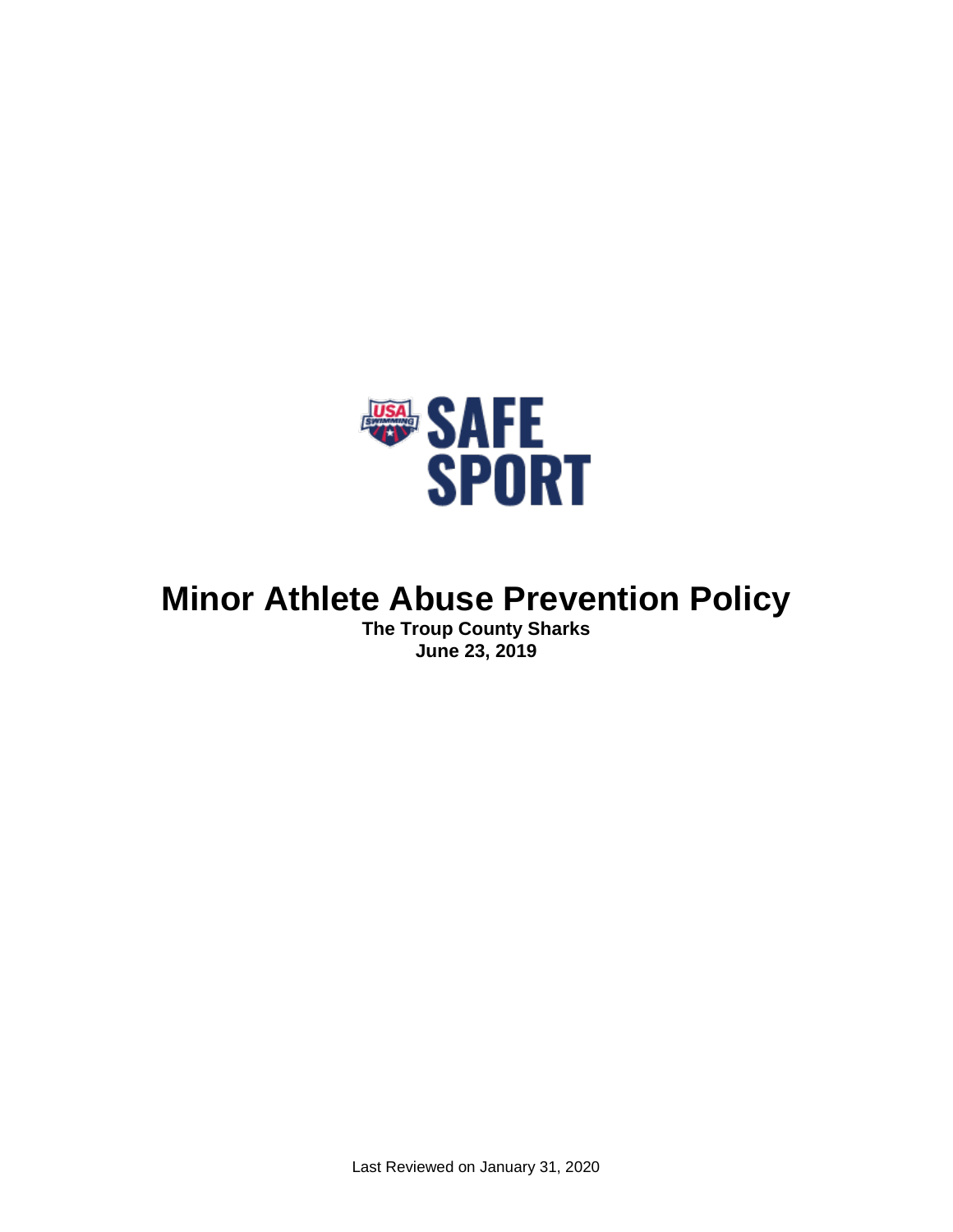

# **Minor Athlete Abuse Prevention Policy**

**The Troup County Sharks June 23, 2019**

Last Reviewed on January 31, 2020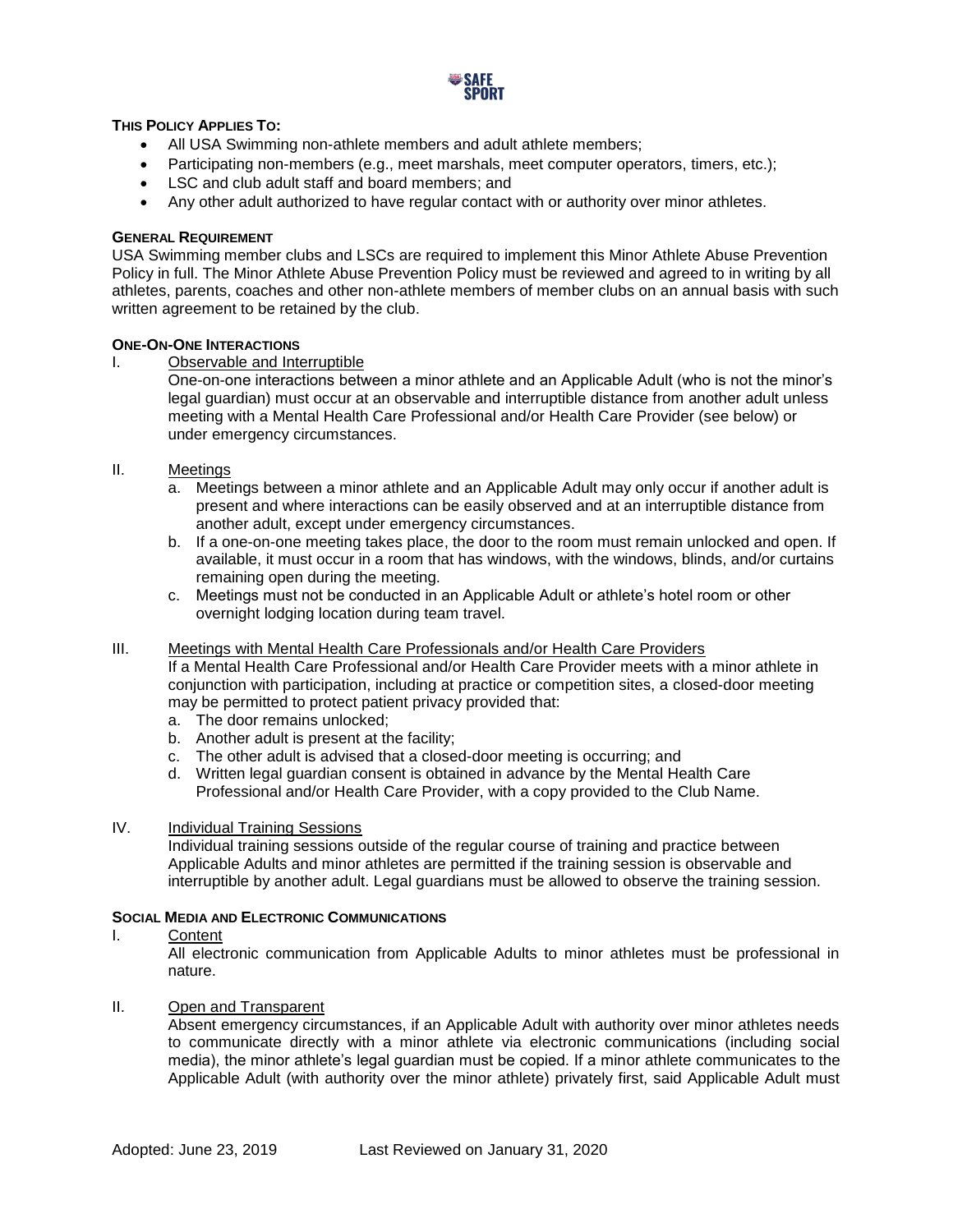

## **THIS POLICY APPLIES TO:**

- All USA Swimming non-athlete members and adult athlete members;
- Participating non-members (e.g., meet marshals, meet computer operators, timers, etc.);
- LSC and club adult staff and board members; and
- Any other adult authorized to have regular contact with or authority over minor athletes.

#### **GENERAL REQUIREMENT**

USA Swimming member clubs and LSCs are required to implement this Minor Athlete Abuse Prevention Policy in full. The Minor Athlete Abuse Prevention Policy must be reviewed and agreed to in writing by all athletes, parents, coaches and other non-athlete members of member clubs on an annual basis with such written agreement to be retained by the club.

#### **ONE-ON-ONE INTERACTIONS**

I. Observable and Interruptible

One-on-one interactions between a minor athlete and an Applicable Adult (who is not the minor's legal guardian) must occur at an observable and interruptible distance from another adult unless meeting with a Mental Health Care Professional and/or Health Care Provider (see below) or under emergency circumstances.

- II. Meetings
	- a. Meetings between a minor athlete and an Applicable Adult may only occur if another adult is present and where interactions can be easily observed and at an interruptible distance from another adult, except under emergency circumstances.
	- b. If a one-on-one meeting takes place, the door to the room must remain unlocked and open. If available, it must occur in a room that has windows, with the windows, blinds, and/or curtains remaining open during the meeting.
	- c. Meetings must not be conducted in an Applicable Adult or athlete's hotel room or other overnight lodging location during team travel.

#### III. Meetings with Mental Health Care Professionals and/or Health Care Providers

If a Mental Health Care Professional and/or Health Care Provider meets with a minor athlete in conjunction with participation, including at practice or competition sites, a closed-door meeting may be permitted to protect patient privacy provided that:

- a. The door remains unlocked;
- b. Another adult is present at the facility;
- c. The other adult is advised that a closed-door meeting is occurring; and
- d. Written legal guardian consent is obtained in advance by the Mental Health Care Professional and/or Health Care Provider, with a copy provided to the Club Name.

#### IV. Individual Training Sessions

Individual training sessions outside of the regular course of training and practice between Applicable Adults and minor athletes are permitted if the training session is observable and interruptible by another adult. Legal guardians must be allowed to observe the training session.

#### **SOCIAL MEDIA AND ELECTRONIC COMMUNICATIONS**

I. Content

All electronic communication from Applicable Adults to minor athletes must be professional in nature.

II. Open and Transparent

Absent emergency circumstances, if an Applicable Adult with authority over minor athletes needs to communicate directly with a minor athlete via electronic communications (including social media), the minor athlete's legal guardian must be copied. If a minor athlete communicates to the Applicable Adult (with authority over the minor athlete) privately first, said Applicable Adult must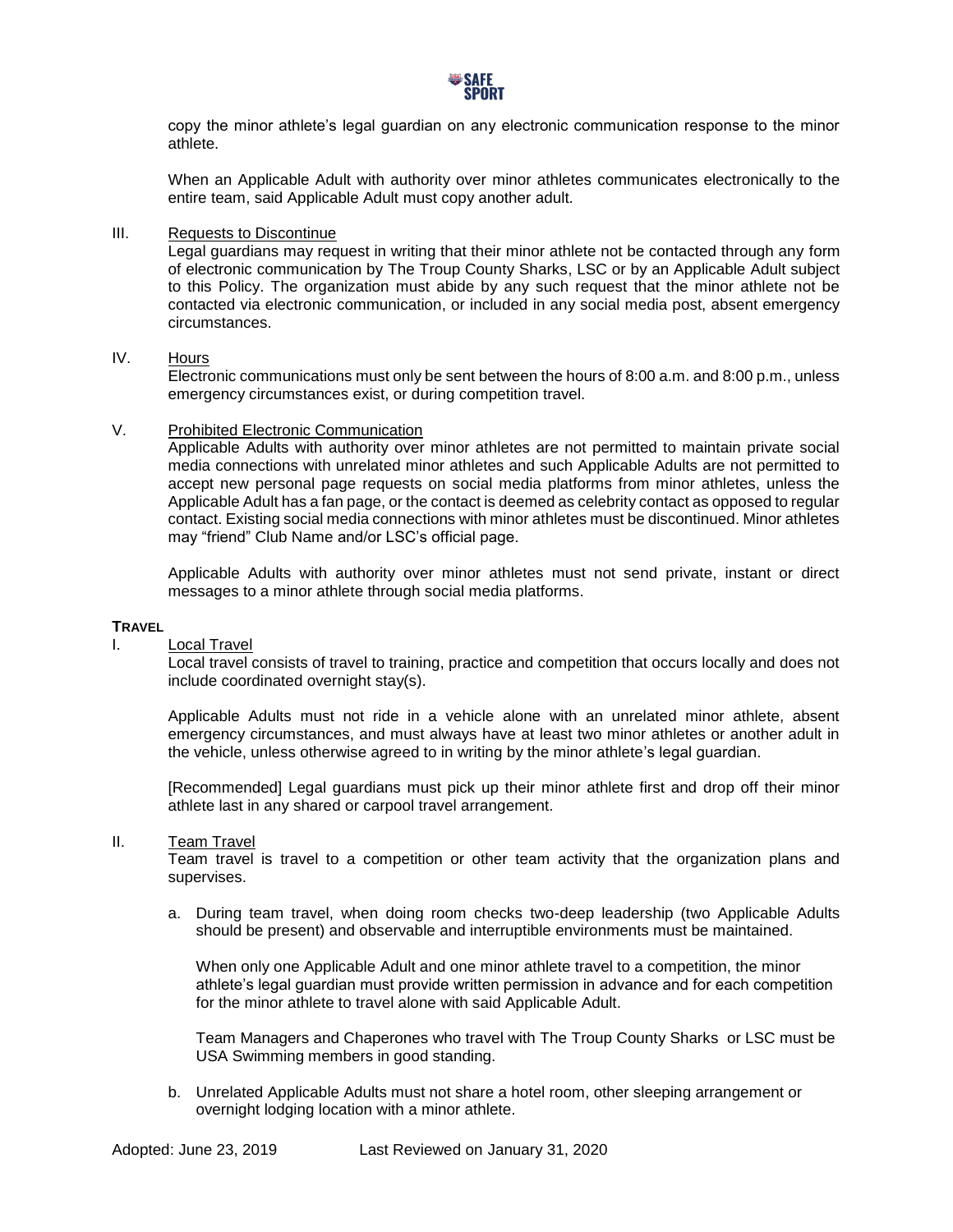

copy the minor athlete's legal guardian on any electronic communication response to the minor athlete.

When an Applicable Adult with authority over minor athletes communicates electronically to the entire team, said Applicable Adult must copy another adult.

#### III. Requests to Discontinue

Legal guardians may request in writing that their minor athlete not be contacted through any form of electronic communication by The Troup County Sharks, LSC or by an Applicable Adult subject to this Policy. The organization must abide by any such request that the minor athlete not be contacted via electronic communication, or included in any social media post, absent emergency circumstances.

# IV. Hours

Electronic communications must only be sent between the hours of 8:00 a.m. and 8:00 p.m., unless emergency circumstances exist, or during competition travel.

### V. Prohibited Electronic Communication

Applicable Adults with authority over minor athletes are not permitted to maintain private social media connections with unrelated minor athletes and such Applicable Adults are not permitted to accept new personal page requests on social media platforms from minor athletes, unless the Applicable Adult has a fan page, or the contact is deemed as celebrity contact as opposed to regular contact. Existing social media connections with minor athletes must be discontinued. Minor athletes may "friend" Club Name and/or LSC's official page.

Applicable Adults with authority over minor athletes must not send private, instant or direct messages to a minor athlete through social media platforms.

#### **TRAVEL**

#### I. Local Travel

Local travel consists of travel to training, practice and competition that occurs locally and does not include coordinated overnight stay(s).

Applicable Adults must not ride in a vehicle alone with an unrelated minor athlete, absent emergency circumstances, and must always have at least two minor athletes or another adult in the vehicle, unless otherwise agreed to in writing by the minor athlete's legal guardian.

[Recommended] Legal guardians must pick up their minor athlete first and drop off their minor athlete last in any shared or carpool travel arrangement.

#### II. Team Travel

Team travel is travel to a competition or other team activity that the organization plans and supervises.

a. During team travel, when doing room checks two-deep leadership (two Applicable Adults should be present) and observable and interruptible environments must be maintained.

When only one Applicable Adult and one minor athlete travel to a competition, the minor athlete's legal guardian must provide written permission in advance and for each competition for the minor athlete to travel alone with said Applicable Adult.

Team Managers and Chaperones who travel with The Troup County Sharks or LSC must be USA Swimming members in good standing.

b. Unrelated Applicable Adults must not share a hotel room, other sleeping arrangement or overnight lodging location with a minor athlete.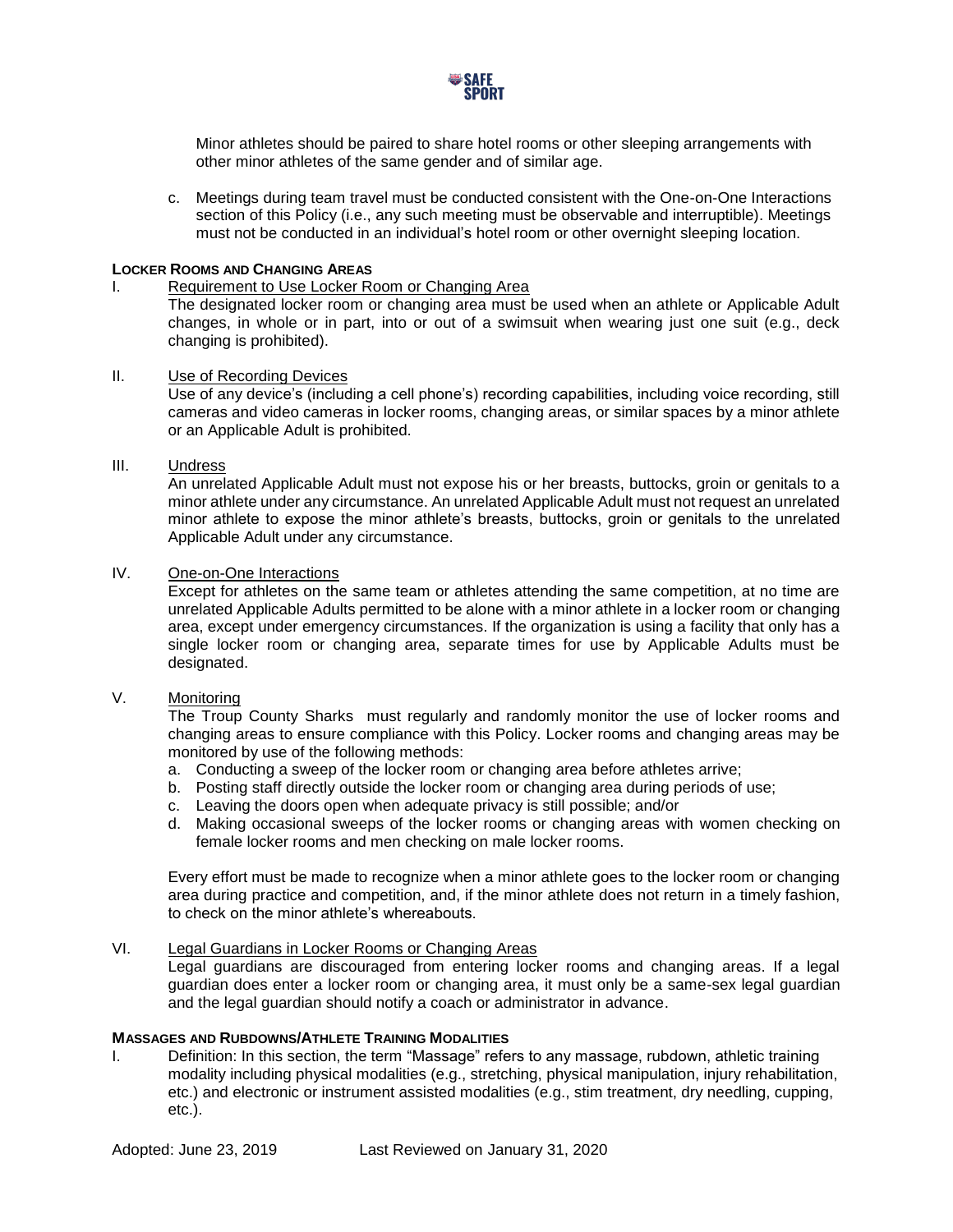

Minor athletes should be paired to share hotel rooms or other sleeping arrangements with other minor athletes of the same gender and of similar age.

c. Meetings during team travel must be conducted consistent with the One-on-One Interactions section of this Policy (i.e., any such meeting must be observable and interruptible). Meetings must not be conducted in an individual's hotel room or other overnight sleeping location.

#### **LOCKER ROOMS AND CHANGING AREAS**

#### I. Requirement to Use Locker Room or Changing Area

The designated locker room or changing area must be used when an athlete or Applicable Adult changes, in whole or in part, into or out of a swimsuit when wearing just one suit (e.g., deck changing is prohibited).

# II. Use of Recording Devices

Use of any device's (including a cell phone's) recording capabilities, including voice recording, still cameras and video cameras in locker rooms, changing areas, or similar spaces by a minor athlete or an Applicable Adult is prohibited.

## III. Undress

An unrelated Applicable Adult must not expose his or her breasts, buttocks, groin or genitals to a minor athlete under any circumstance. An unrelated Applicable Adult must not request an unrelated minor athlete to expose the minor athlete's breasts, buttocks, groin or genitals to the unrelated Applicable Adult under any circumstance.

# IV. One-on-One Interactions

Except for athletes on the same team or athletes attending the same competition, at no time are unrelated Applicable Adults permitted to be alone with a minor athlete in a locker room or changing area, except under emergency circumstances. If the organization is using a facility that only has a single locker room or changing area, separate times for use by Applicable Adults must be designated.

# V. Monitoring

The Troup County Sharks must regularly and randomly monitor the use of locker rooms and changing areas to ensure compliance with this Policy. Locker rooms and changing areas may be monitored by use of the following methods:

- a. Conducting a sweep of the locker room or changing area before athletes arrive;
- b. Posting staff directly outside the locker room or changing area during periods of use;
- c. Leaving the doors open when adequate privacy is still possible; and/or
- d. Making occasional sweeps of the locker rooms or changing areas with women checking on female locker rooms and men checking on male locker rooms.

Every effort must be made to recognize when a minor athlete goes to the locker room or changing area during practice and competition, and, if the minor athlete does not return in a timely fashion, to check on the minor athlete's whereabouts.

# VI. Legal Guardians in Locker Rooms or Changing Areas

Legal guardians are discouraged from entering locker rooms and changing areas. If a legal guardian does enter a locker room or changing area, it must only be a same-sex legal guardian and the legal guardian should notify a coach or administrator in advance.

# **MASSAGES AND RUBDOWNS/ATHLETE TRAINING MODALITIES**

I. Definition: In this section, the term "Massage" refers to any massage, rubdown, athletic training modality including physical modalities (e.g., stretching, physical manipulation, injury rehabilitation, etc.) and electronic or instrument assisted modalities (e.g., stim treatment, dry needling, cupping, etc.).